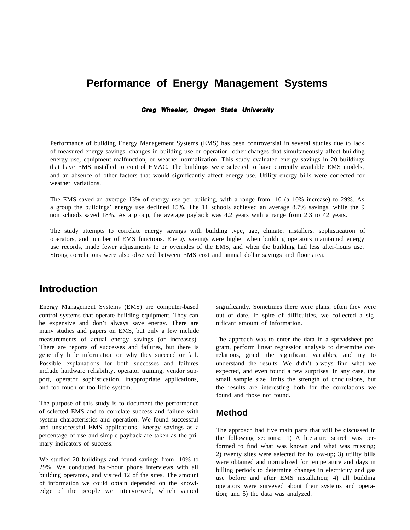# **Performance of Energy Management Systems**

*Greg Wheeler, Oregon State University*

Performance of building Energy Management Systems (EMS) has been controversial in several studies due to lack of measured energy savings, changes in building use or operation, other changes that simultaneously affect building energy use, equipment malfunction, or weather normalization. This study evaluated energy savings in 20 buildings that have EMS installed to control HVAC. The buildings were selected to have currently available EMS models, and an absence of other factors that would significantly affect energy use. Utility energy bills were corrected for weather variations.

The EMS saved an average 13% of energy use per building, with a range from -10 (a 10% increase) to 29%. As a group the buildings' energy use declined 15%. The 11 schools achieved an average 8.7% savings, while the 9 non schools saved 18%. As a group, the average payback was 4.2 years with a range from 2.3 to 42 years.

The study attempts to correlate energy savings with building type, age, climate, installers, sophistication of operators, and number of EMS functions. Energy savings were higher when building operators maintained energy use records, made fewer adjustments to or overrides of the EMS, and when the building had less after-hours use. Strong correlations were also observed between EMS cost and annual dollar savings and floor area.

# **Introduction**

Energy Management Systems (EMS) are computer-based control systems that operate building equipment. They can be expensive and don't always save energy. There are many studies and papers on EMS, but only a few include measurements of actual energy savings (or increases). There are reports of successes and failures, but there is generally little information on why they succeed or fail. Possible explanations for both successes and failures include hardware reliability, operator training, vendor support, operator sophistication, inappropriate applications, and too much or too little system.

The purpose of this study is to document the performance of selected EMS and to correlate success and failure with system characteristics and operation. We found successful and unsuccessful EMS applications. Energy savings as a percentage of use and simple payback are taken as the primary indicators of success.

We studied 20 buildings and found savings from -10% to 29%. We conducted half-hour phone interviews with all building operators, and visited 12 of the sites. The amount of information we could obtain depended on the knowledge of the people we interviewed, which varied significantly. Sometimes there were plans; often they were out of date. In spite of difficulties, we collected a significant amount of information.

The approach was to enter the data in a spreadsheet program, perform linear regression analysis to determine correlations, graph the significant variables, and try to understand the results. We didn't always find what we expected, and even found a few surprises. In any case, the small sample size limits the strength of conclusions, but the results are interesting both for the correlations we found and those not found.

# **Method**

The approach had five main parts that will be discussed in the following sections: 1) A literature search was performed to find what was known and what was missing; 2) twenty sites were selected for follow-up; 3) utility bills were obtained and normalized for temperature and days in billing periods to determine changes in electricity and gas use before and after EMS installation; 4) all building operators were surveyed about their systems and operation; and 5) the data was analyzed.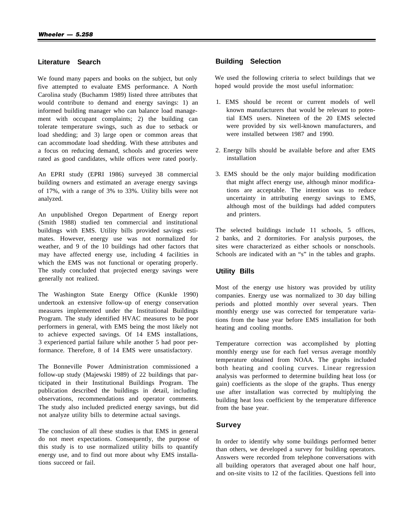#### **Literature Search**

We found many papers and books on the subject, but only five attempted to evaluate EMS performance. A North Carolina study (Buchamm 1989) listed three attributes that would contribute to demand and energy savings: 1) an informed building manager who can balance load management with occupant complaints: 2) the building can tolerate temperature swings, such as due to setback or load shedding; and 3) large open or common areas that can accommodate load shedding. With these attributes and a focus on reducing demand, schools and groceries were rated as good candidates, while offices were rated poorly.

An EPRI study (EPRI 1986) surveyed 38 commercial building owners and estimated an average energy savings of 17%, with a range of 3% to 33%. Utility bills were not analyzed.

An unpublished Oregon Department of Energy report (Smith 1988) studied ten commercial and institutional buildings with EMS. Utility bills provided savings estimates. However, energy use was not normalized for weather, and 9 of the 10 buildings had other factors that may have affected energy use, including 4 facilities in which the EMS was not functional or operating properly. The study concluded that projected energy savings were generally not realized.

The Washington State Energy Office (Kunkle 1990) undertook an extensive follow-up of energy conservation measures implemented under the Institutional Buildings Program. The study identified HVAC measures to be poor performers in general, with EMS being the most likely not to achieve expected savings. Of 14 EMS installations, 3 experienced partial failure while another 5 had poor performance. Therefore, 8 of 14 EMS were unsatisfactory.

The Bonneville Power Administration commissioned a follow-up study (Majewski 1989) of 22 buildings that participated in their Institutional Buildings Program. The publication described the buildings in detail, including observations, recommendations and operator comments. The study also included predicted energy savings, but did not analyze utility bills to determine actual savings.

The conclusion of all these studies is that EMS in general do not meet expectations. Consequently, the purpose of this study is to use normalized utility bills to quantify energy use, and to find out more about why EMS installations succeed or fail.

#### **Building Selection**

We used the following criteria to select buildings that we hoped would provide the most useful information:

- 1. EMS should be recent or current models of well known manufacturers that would be relevant to potential EMS users. Nineteen of the 20 EMS selected were provided by six well-known manufacturers, and were installed between 1987 and 1990.
- 2. Energy bills should be available before and after EMS installation
- 3. EMS should be the only major building modification that might affect energy use, although minor modifications are acceptable. The intention was to reduce uncertainty in attributing energy savings to EMS, although most of the buildings had added computers and printers.

The selected buildings include 11 schools, 5 offices, 2 banks, and 2 dormitories. For analysis purposes, the sites were characterized as either schools or nonschools. Schools are indicated with an "s" in the tables and graphs.

#### **Utility Bills**

Most of the energy use history was provided by utility companies. Energy use was normalized to 30 day billing periods and plotted monthly over several years. Then monthly energy use was corrected for temperature variations from the base year before EMS installation for both heating and cooling months.

Temperature correction was accomplished by plotting monthly energy use for each fuel versus average monthly temperature obtained from NOAA. The graphs included both heating and cooling curves. Linear regression analysis was performed to determine building heat loss (or gain) coefficients as the slope of the graphs. Thus energy use after installation was corrected by multiplying the building heat loss coefficient by the temperature difference from the base year.

#### **Survey**

In order to identify why some buildings performed better than others, we developed a survey for building operators. Answers were recorded from telephone conversations with all building operators that averaged about one half hour, and on-site visits to 12 of the facilities. Questions fell into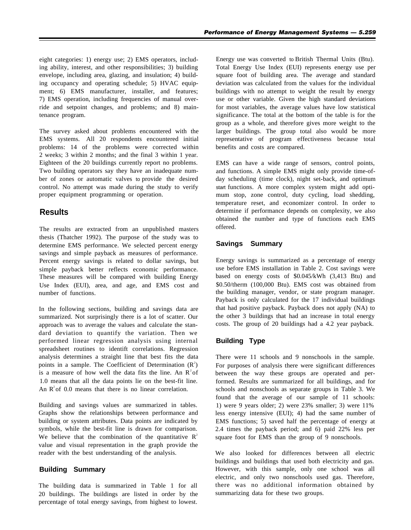eight categories: 1) energy use; 2) EMS operators, including ability, interest, and other responsibilities; 3) building envelope, including area, glazing, and insulation; 4) building occupancy and operating schedule; 5) HVAC equipment; 6) EMS manufacturer, installer, and features; 7) EMS operation, including frequencies of manual override and setpoint changes, and problems; and 8) maintenance program.

The survey asked about problems encountered with the EMS systems. All 20 respondents encountered initial problems: 14 of the problems were corrected within 2 weeks; 3 within 2 months; and the final 3 within 1 year. Eighteen of the 20 buildings currently report no problems. Two building operators say they have an inadequate number of zones or automatic valves to provide the desired control. No attempt was made during the study to verify proper equipment programming or operation.

## **Results**

The results are extracted from an unpublished masters thesis (Thatcher 1992). The purpose of the study was to determine EMS performance. We selected percent energy savings and simple payback as measures of performance. Percent energy savings is related to dollar savings, but simple payback better reflects economic performance. These measures will be compared with building Energy Use Index (EUI), area, and age, and EMS cost and number of functions.

In the following sections, building and savings data are summarized. Not surprisingly there is a lot of scatter. Our approach was to average the values and calculate the standard deviation to quantify the variation. Then we performed linear regression analysis using internal spreadsheet routines to identift correlations. Regression analysis determines a straight line that best fits the data points in a sample. The Coefficient of Determination  $(R^2)$ is a measure of how well the data fits the line. An  $R^2$  of 1.0 means that all the data points lie on the best-fit line. An  $\mathbb{R}^2$  of 0.0 means that there is no linear correlation.

Building and savings values are summarized in tables. Graphs show the relationships between performance and building or system attributes. Data points are indicated by symbols, while the best-fit line is drawn for comparison. We believe that the combination of the quantitative  $R^2$ value and visual representation in the graph provide the reader with the best understanding of the analysis.

### **Building Summary**

The building data is summarized in Table 1 for all 20 buildings. The buildings are listed in order by the percentage of total energy savings, from highest to lowest.

Energy use was converted to British Thermal Units (Btu). Total Energy Use Index (EUI) represents energy use per square foot of building area. The average and standard deviation was calculated from the values for the individual buildings with no attempt to weight the result by energy use or other variable. Given the high standard deviations for most variables, the average values have low statistical significance. The total at the bottom of the table is for the group as a whole, and therefore gives more weight to the larger buildings. The group total also would be more representative of program effectiveness because total benefits and costs are compared.

EMS can have a wide range of sensors, control points, and functions. A simple EMS might only provide time-ofday scheduling (time clock), night set-back, and optimum start functions. A more complex system might add optimum stop, zone control, duty cycling, load shedding, temperature reset, and economizer control. In order to determine if performance depends on complexity, we also obtained the number and type of functions each EMS offered.

#### **Savings Summary**

Energy savings is summarized as a percentage of energy use before EMS installation in Table 2. Cost savings were based on energy costs of \$0.045/kWh (3,413 Btu) and \$0.50/therm (100,000 Btu). EMS cost was obtained from the building manager, vendor, or state program manager. Payback is only calculated for the 17 individual buildings that had positive payback. Payback does not apply (NA) to the other 3 buildings that had an increase in total energy costs. The group of 20 buildings had a 4.2 year payback.

#### **Building Type**

There were 11 schools and 9 nonschools in the sample. For purposes of analysis there were significant differences between the way these groups are operated and performed. Results are summarized for all buildings, and for schools and nonschools as separate groups in Table 3. We found that the average of our sample of 11 schools: 1) were 9 years older; 2) were 23% smaller; 3) were 11% less energy intensive (EUI); 4) had the same number of EMS functions; 5) saved half the percentage of energy at 2.4 times the payback period; and 6) paid 22% less per square foot for EMS than the group of 9 nonschools.

We also looked for differences between all electric buildings and buildings that used both electricity and gas. However, with this sample, only one school was all electric, and only two nonschools used gas. Therefore, there was no additional information obtained by summarizing data for these two groups.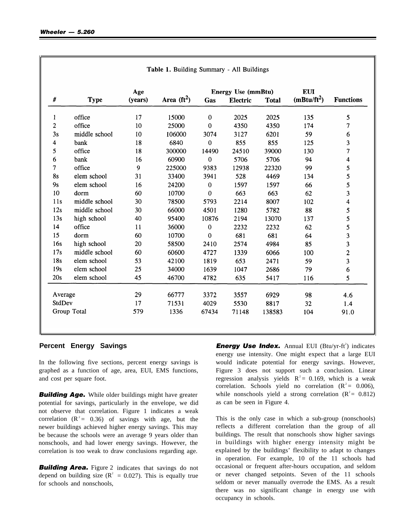|                  |               | Age     |               | <b>Energy Use (mmBtu)</b> |          |              | <b>EUI</b>                       |                         |  |
|------------------|---------------|---------|---------------|---------------------------|----------|--------------|----------------------------------|-------------------------|--|
| $\#$             | <b>Type</b>   | (years) | Area $(ft^2)$ | Gas                       | Electric | <b>Total</b> | $(m_{\rm B}t_{\rm U}/\rm{ft}^2)$ | <b>Functions</b>        |  |
| 1                | office        | 17      | 15000         | $\boldsymbol{0}$          | 2025     | 2025         | 135                              | 5                       |  |
| $\boldsymbol{2}$ | office        | 10      | 25000         | $\mathbf 0$               | 4350     | 4350         | 174                              | 7                       |  |
| 3s               | middle school | 10      | 106000        | 3074                      | 3127     | 6201         | 59                               | 6                       |  |
| 4                | bank          | 18      | 6840          | $\bf{0}$                  | 855      | 855          | 125                              | 3                       |  |
| 5                | office        | 18      | 300000        | 14490                     | 24510    | 39000        | 130                              | $\overline{\tau}$       |  |
| 6                | bank          | 16      | 60900         | $\mathbf 0$               | 5706     | 5706         | 94                               | $\overline{\mathbf{4}}$ |  |
| $\tau$           | office        | 9       | 225000        | 9383                      | 12938    | 22320        | 99                               | 5                       |  |
| <b>8s</b>        | elem school   | 31      | 33400         | 3941                      | 528      | 4469         | 134                              | 5                       |  |
| 9s               | elem school   | 16      | 24200         | $\boldsymbol{0}$          | 1597     | 1597         | 66                               | 5                       |  |
| 10               | dorm          | 60      | 10700         | $\boldsymbol{0}$          | 663      | 663          | 62                               | 3                       |  |
| 11s              | middle school | 30      | 78500         | 5793                      | 2214     | 8007         | 102                              | $\overline{\mathbf{4}}$ |  |
| 12s              | middle school | 30      | 66000         | 4501                      | 1280     | 5782         | 88                               | 5                       |  |
| 13s              | high school   | 40      | 95400         | 10876                     | 2194     | 13070        | 137                              | 5                       |  |
| 14               | office        | 11      | 36000         | $\boldsymbol{0}$          | 2232     | 2232         | 62                               | 5                       |  |
| 15               | dorm          | 60      | 10700         | $\mathbf{0}$              | 681      | 681          | 64                               | 3                       |  |
| 16s              | high school   | 20      | 58500         | 2410                      | 2574     | 4984         | 85                               | $\overline{\mathbf{3}}$ |  |
| 17s              | middle school | 60      | 60600         | 4727                      | 1339     | 6066         | 100                              | $\overline{c}$          |  |
| 18s              | elem school   | 53      | 42100         | 1819                      | 653      | 2471         | 59                               | $\overline{\mathbf{3}}$ |  |
| 19s              | elem school   | 25      | 34000         | 1639                      | 1047     | 2686         | 79                               | 6                       |  |
| 20s              | elem school   | 45      | 46700         | 4782                      | 635      | 5417         | 116                              | 5                       |  |
| Average          |               | 29      | 66777         | 3372                      | 3557     | 6929         | 98                               | 4.6                     |  |
| StdDev           |               | 17      | 71531         | 4029                      | 5530     | 8817         | 32                               | 1.4                     |  |
|                  | Group Total   | 579     | 1336          | 67434                     | 71148    | 138583       | 104                              | 91.0                    |  |

Toble 1 Duilding Cummery All Duildings

In the following five sections, percent energy savings is graphed as a function of age, area, EUI, EMS functions, and cost per square foot.

**Building Age.** While older buildings might have greater potential for savings, particularly in the envelope, we did not observe that correlation. Figure 1 indicates a weak correlation  $(R^2 = 0.36)$  of savings with age, but the newer buildings achieved higher energy savings. This may be because the schools were an average 9 years older than nonschools, and had lower energy savings. However, the correlation is too weak to draw conclusions regarding age.

**Building Area.** Figure 2 indicates that savings do not depend on building size ( $R^2 = 0.027$ ). This is equally true for schools and nonschools,

**Percent Energy Savings The Energy Use Index.** Annual EUI (Btu/yr-ft<sup>2</sup>) indicates energy use intensity. One might expect that a large EUI would indicate potential for energy savings. However, Figure 3 does not support such a conclusion. Linear regression analysis yields  $R^2 = 0.169$ , which is a weak correlation. Schools yield no correlation  $(R^2 = 0.006)$ , while nonschools yield a strong correlation  $(R^2 = 0.812)$ as can be seen in Figure 4.

> This is the only case in which a sub-group (nonschools) reflects a different correlation than the group of all buildings. The result that nonschools show higher savings in buildings with higher energy intensity might be explained by the buildings' flexibility to adapt to changes in operation. For example, 10 of the 11 schools had occasional or frequent after-hours occupation, and seldom or never changed setpoints. Seven of the 11 schools seldom or never manually overrode the EMS. As a result there was no significant change in energy use with occupancy in schools.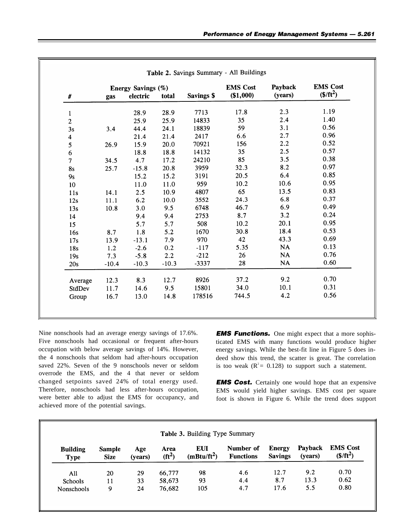|                 | Energy Savings (%) |          |         |                   | <b>EMS Cost</b> | Payback | <b>EMS</b> Cost |  |
|-----------------|--------------------|----------|---------|-------------------|-----------------|---------|-----------------|--|
| $\#$            | gas                | electric | total   | <b>Savings \$</b> | (\$1,000)       | (years) | $($/ft^2)$      |  |
| $\mathbf{1}$    |                    | 28.9     | 28.9    | 7713              | 17.8            | 2.3     | 1.19            |  |
| $\overline{c}$  |                    | 25.9     | 25.9    | 14833             | 35              | 2.4     | 1.40            |  |
| 3s              | 3.4                | 44.4     | 24.1    | 18839             | 59              | 3.1     | 0.56            |  |
| 4               |                    | 21.4     | 21.4    | 2417              | 6.6             | 2.7     | 0.96            |  |
| 5               | 26.9               | 15.9     | 20.0    | 70921             | 156             | 2.2     | 0.52            |  |
| 6               |                    | 18.8     | 18.8    | 14132             | 35              | 2.5     | 0.57            |  |
| $\overline{7}$  | 34.5               | 4.7      | 17.2    | 24210             | 85              | 3.5     | 0.38            |  |
| <b>8s</b>       | 25.7               | $-15.8$  | 20.8    | 3959              | 32.3            | 8.2     | 0.97            |  |
| 9s              |                    | 15.2     | 15.2    | 3191              | 20.5            | 6.4     | 0.85            |  |
| 10              |                    | 11.0     | 11.0    | 959               | 10.2            | 10.6    | 0.95            |  |
| 11s             | 14.1               | 2.5      | 10.9    | 4807              | 65              | 13.5    | 0.83            |  |
| 12s             | 11.1               | 6.2      | 10.0    | 3552              | 24.3            | 6.8     | 0.37            |  |
| 13s             | 10.8               | 3.0      | 9.5     | 6748              | 46.7            | 6.9     | 0.49            |  |
| 14              |                    | 9.4      | 9.4     | 2753              | 8.7             | 3.2     | 0.24            |  |
| 15 <sub>1</sub> |                    | 5.7      | 5.7     | 508               | 10.2            | 20.1    | 0.95            |  |
| 16s             | 8.7                | 1.8      | 5.2     | 1670              | 30.8            | 18.4    | 0.53            |  |
| 17s             | 13.9               | $-13.1$  | 7.9     | 970               | 42              | 43.3    | 0.69            |  |
| 18s             | 1.2                | $-2.6$   | 0.2     | $-117$            | 5.35            | ÑÀ      | 0.13            |  |
| 19s             | 7.3                | $-5.8$   | 2.2     | $-212$            | 26              | NA      | 0.76            |  |
| 20s             | $-10.4$            | $-10.3$  | $-10.3$ | -3337             | 28              | NA      | 0.60            |  |
| Average         | 12.3               | 8.3      | 12.7    | 8926              | 37.2            | 9.2     | 0.70            |  |
| StdDev          | 11.7               | 14.6     | 9.5     | 15801             | 34.0            | 10.1    | 0.31            |  |
| Group           | 16.7               | 13.0     | 14.8    | 178516            | 744.5           | 4.2     | 0.56            |  |

Nine nonschools had an average energy savings of 17.6%. *EMS Functions.* One might expect that a more sophis-Five nonschools had occasional or frequent after-hours ticated EMS with many functions would produce higher occupation with below average savings of 14%. However, energy savings. While the best-fit line in Figure 5 does inthe 4 nonschools that seldom had after-hours occupation deed show this trend, the scatter is great. The correlation saved 22%. Seven of the 9 nonschools never or seldom is too weak  $(R^2 = 0.128)$  to support such a statemen overrode the EMS, and the 4 that never or seldom changed setpoints saved 24% of total energy used. **EMS Cost.** Certainly one would hope that an expensive<br>Therefore, nonschools had less after-hours occupation, **EMS** would vield higher sayings **EMS** cost per square Therefore, nonschools had less after-hours occupation,<br>were better able to adjust the EMS for occupancy, and<br>foot is shown in Figure 6. While the trend does support achieved more of the potential savings.

is too weak ( $R^2 = 0.128$ ) to support such a statement.

foot is shown in Figure 6. While the trend does support

|                                | Table 3. Building Type Summary |                |                             |                                       |                               |                                 |                    |                               |
|--------------------------------|--------------------------------|----------------|-----------------------------|---------------------------------------|-------------------------------|---------------------------------|--------------------|-------------------------------|
| <b>Building</b><br><b>Type</b> | <b>Sample</b><br><b>Size</b>   | Age<br>(vears) | Area<br>(f t <sup>2</sup> ) | <b>EUI</b><br>$(m_{\text{Btu}}/ft^2)$ | Number of<br><b>Functions</b> | <b>Energy</b><br><b>Savings</b> | Payback<br>(years) | <b>EMS Cost</b><br>$($/ft^2)$ |
| All                            | 20                             | 29             | 66,777                      | 98                                    | 4.6                           | 12.7                            | 9.2                | 0.70                          |
| Schools                        | 11                             | 33             | 58,673                      | 93                                    | 4.4                           | 8.7                             | 13.3               | 0.62                          |
| <b>Nonschools</b>              | 9                              | 24             | 76,682                      | 105                                   | 4.7                           | 17.6                            | 5.5                | 0.80                          |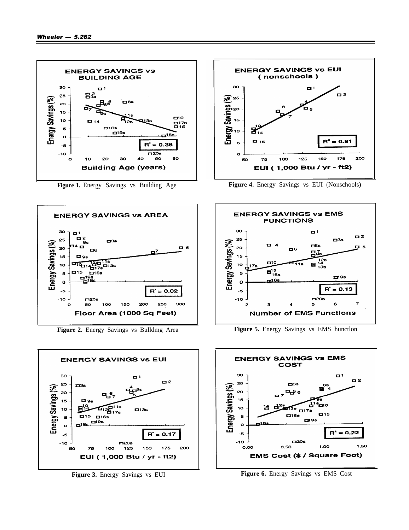

**Figure 1.** Energy Savings vs Building Age



**Figure 2.** Energy Savings vs Bulldmg Area





**Figure 4.** Energy Savings vs EUI (Nonschools)



**Figure 5.** Energy Savings vs EMS hunctlon



**Figure 3.** Energy Savings vs EUI **Figure 6.** Energy Savings vs EMS Cost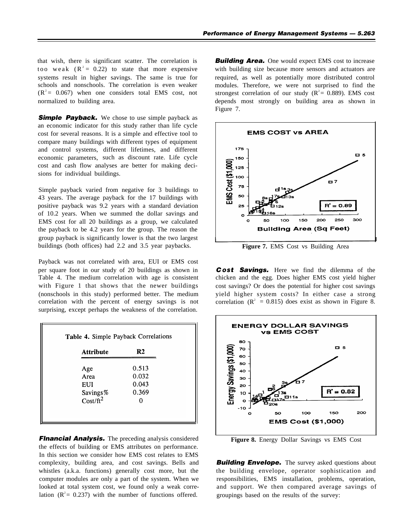that wish, there is significant scatter. The correlation is too weak  $(R^2 = 0.22)$  to state that more expensive systems result in higher savings. The same is true for schools and nonschools. The correlation is even weaker  $(R^2 = 0.067)$  when one considers total EMS cost, not normalized to building area.

**Simple Payback.** We chose to use simple payback as an economic indicator for this study rather than life cycle cost for several reasons. It is a simple and effective tool to compare many buildings with different types of equipment and control systems, different lifetimes, and different economic parameters, such as discount rate. Life cycle cost and cash flow analyses are better for making decisions for individual buildings.

Simple payback varied from negative for 3 buildings to 43 years. The average payback for the 17 buildings with positive payback was 9.2 years with a standard deviation of 10.2 years. When we summed the dollar savings and EMS cost for all 20 buildings as a group, we calculated the payback to be 4.2 years for the group. The reason the group payback is significantly lower is that the two largest buildings (both offices) had 2.2 and 3.5 year paybacks.

Payback was not correlated with area, EUI or EMS cost per square foot in our study of 20 buildings as shown in Table 4. The medium correlation with age is consistent with Figure 1 that shows that the newer buildings (nonschools in this study) performed better. The medium correlation with the percent of energy savings is not surprising, except perhaps the weakness of the correlation.

| <b>Attribute</b> | R2    |
|------------------|-------|
| Age              | 0.513 |
| Area             | 0.032 |
| EUI              | 0.043 |
| Savings%         | 0.369 |
| $Cost/ft^2$      |       |

**Financial Analysis.** The preceding analysis considered the effects of building or EMS attributes on performance. In this section we consider how EMS cost relates to EMS complexity, building area, and cost savings. Bells and whistles (a.k.a. functions) generally cost more, but the computer modules are only a part of the system. When we looked at total system cost, we found only a weak correlation  $(R^2 = 0.237)$  with the number of functions offered.

**Building Area.** One would expect EMS cost to increase with building size because more sensors and actuators are required, as well as potentially more distributed control modules. Therefore, we were not surprised to find the strongest correlation of our study ( $R^2$  = 0.889). EMS cost depends most strongly on building area as shown in Figure 7.



**Figure 7.** EMS Cost vs Building Area

*C OSt Savings.* Here we find the dilemma of the chicken and the egg. Does higher EMS cost yield higher cost savings? Or does the potential for higher cost savings yield higher system costs? In either case a strong correlation ( $\mathbb{R}^2 = 0.815$ ) does exist as shown in Figure 8.



**Figure 8.** Energy Dollar Savings vs EMS Cost

**Building Envelope.** The survey asked questions about the building envelope, operator sophistication and responsibilities, EMS installation, problems, operation, and support. We then compared average savings of groupings based on the results of the survey: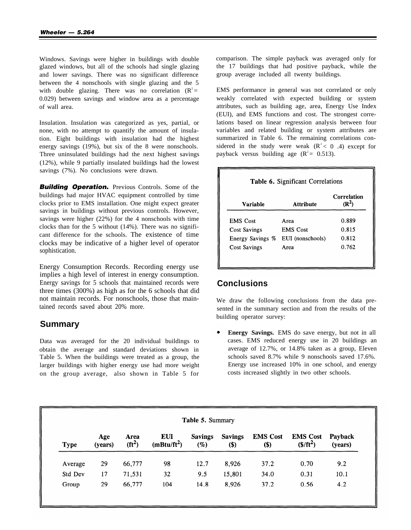Windows. Savings were higher in buildings with double glazed windows, but all of the schools had single glazing and lower savings. There was no significant difference between the 4 nonschools with single glazing and the 5 with double glazing. There was no correlation  $(R^2 =$ 0.029) between savings and window area as a percentage of wall area.

Insulation. Insulation was categorized as yes, partial, or none, with no attempt to quantify the amount of insulation. Eight buildings with insulation had the highest energy savings (19%), but six of the 8 were nonschools. Three uninsulated buildings had the next highest savings (12%), while 9 partially insulated buildings had the lowest savings (7%). No conclusions were drawn.

**Building Operation.** Previous Controls. Some of the buildings had major HVAC equipment controlled by time clocks prior to EMS installation. One might expect greater savings in buildings without previous controls. However, savings were higher (22%) for the 4 nonschools with time clocks than for the 5 without (14%). There was no significant difference for the schools. The existence of time clocks may be indicative of a higher level of operator sophistication.

Energy Consumption Records. Recording energy use implies a high level of interest in energy consumption. Energy savings for 5 schools that maintained records were three times (300%) as high as for the 6 schools that did not maintain records. For nonschools, those that maintained records saved about 20% more.

## **Summary**

Data was averaged for the 20 individual buildings to obtain the average and standard deviations shown in Table 5. When the buildings were treated as a group, the larger buildings with higher energy use had more weight on the group average, also shown in Table 5 for comparison. The simple payback was averaged only for the 17 buildings that had positive payback, while the group average included all twenty buildings.

EMS performance in general was not correlated or only weakly correlated with expected building or system attributes, such as building age, area, Energy Use Index (EUI), and EMS functions and cost. The strongest correlations based on linear regression analysis between four variables and related building or system attributes are summarized in Table 6. The remaining correlations considered in the study were weak  $(R^2 < 0.4)$  except for payback versus building age  $(R^2 = 0.513)$ .

|                     |                  | Correlation<br>መላ |
|---------------------|------------------|-------------------|
| <b>EMS</b> Cost     | Area             | 0.889             |
| <b>Cost Savings</b> | <b>EMS</b> Cost  | 0.815             |
| Energy Savings %    | EUI (nonschools) | 0.812             |
| <b>Cost Savings</b> | Area             | 0.762             |

# **Conclusions**

We draw the following conclusions from the data presented in the summary section and from the results of the building operator survey:

**Energy Savings.** EMS do save energy, but not in all cases. EMS reduced energy use in 20 buildings an average of 12.7%, or 14.8% taken as a group, Eleven schools saved 8.7% while 9 nonschools saved 17.6%. Energy use increased 10% in one school, and energy costs increased slightly in two other schools.

| Table 5. Summary |                |                  |                                       |                          |                       |                          |                               |                    |
|------------------|----------------|------------------|---------------------------------------|--------------------------|-----------------------|--------------------------|-------------------------------|--------------------|
| <b>Type</b>      | Age<br>(years) | Area<br>$(ft^2)$ | <b>EUI</b><br>$(m_{\text{Btu}}/ft^2)$ | <b>Savings</b><br>$(\%)$ | <b>Savings</b><br>\$) | <b>EMS Cost</b><br>$($)$ | <b>EMS Cost</b><br>$($/ft^2)$ | Payback<br>(years) |
| Average          | 29             | 66,777           | 98                                    | 12.7                     | 8,926                 | 37.2                     | 0.70                          | 9.2                |
| Std Dev          | 17             | 71,531           | 32                                    | 9.5                      | 15,801                | 34.0                     | 0.31                          | 10.1               |
| Group            | 29             | 66,777           | 104                                   | 14.8                     | 8,926                 | 37.2                     | 0.56                          | 4.2                |